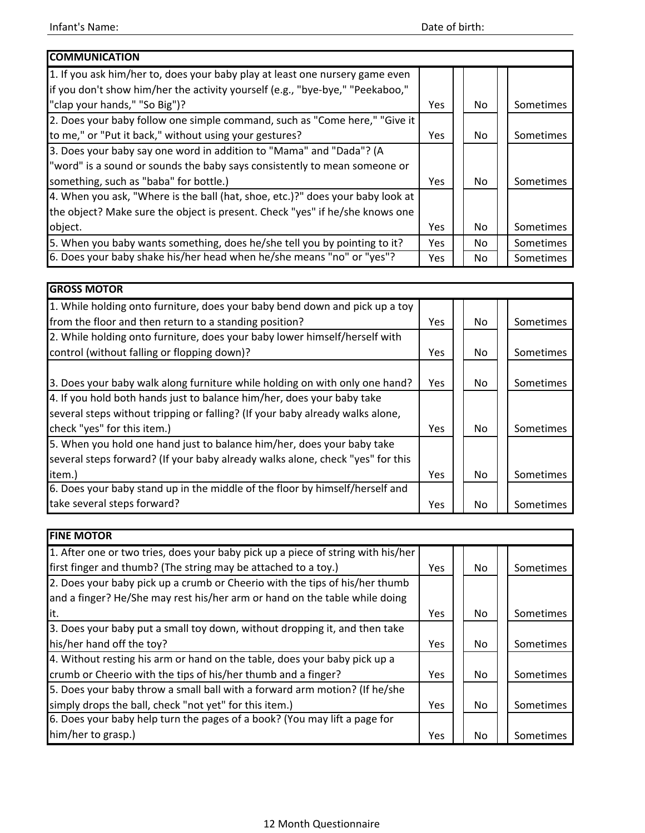| <b>COMMUNICATION</b>                                                           |            |     |           |
|--------------------------------------------------------------------------------|------------|-----|-----------|
| 1. If you ask him/her to, does your baby play at least one nursery game even   |            |     |           |
| if you don't show him/her the activity yourself (e.g., "bye-bye," "Peekaboo,"  |            |     |           |
| "clap your hands," "So Big")?                                                  | <b>Yes</b> | No  | Sometimes |
| 2. Does your baby follow one simple command, such as "Come here," "Give it     |            |     |           |
| to me," or "Put it back," without using your gestures?                         | <b>Yes</b> | No. | Sometimes |
| 3. Does your baby say one word in addition to "Mama" and "Dada"? (A            |            |     |           |
| "word" is a sound or sounds the baby says consistently to mean someone or      |            |     |           |
| something, such as "baba" for bottle.)                                         | Yes.       | No  | Sometimes |
| 4. When you ask, "Where is the ball (hat, shoe, etc.)?" does your baby look at |            |     |           |
| the object? Make sure the object is present. Check "yes" if he/she knows one   |            |     |           |
| object.                                                                        | Yes.       | No. | Sometimes |
| 5. When you baby wants something, does he/she tell you by pointing to it?      | Yes.       | No. | Sometimes |
| 6. Does your baby shake his/her head when he/she means "no" or "yes"?          | Yes        | No. | Sometimes |

| <b>GROSS MOTOR</b>                                                             |            |     |           |
|--------------------------------------------------------------------------------|------------|-----|-----------|
| 1. While holding onto furniture, does your baby bend down and pick up a toy    |            |     |           |
| from the floor and then return to a standing position?                         | Yes        | No. | Sometimes |
| 2. While holding onto furniture, does your baby lower himself/herself with     |            |     |           |
| control (without falling or flopping down)?                                    | Yes        | No  | Sometimes |
|                                                                                |            |     |           |
| 3. Does your baby walk along furniture while holding on with only one hand?    | Yes        | No. | Sometimes |
| 4. If you hold both hands just to balance him/her, does your baby take         |            |     |           |
| several steps without tripping or falling? (If your baby already walks alone,  |            |     |           |
| check "yes" for this item.)                                                    | Yes        | No. | Sometimes |
| 5. When you hold one hand just to balance him/her, does your baby take         |            |     |           |
| several steps forward? (If your baby already walks alone, check "yes" for this |            |     |           |
| item.)                                                                         | <b>Yes</b> | No  | Sometimes |
| 6. Does your baby stand up in the middle of the floor by himself/herself and   |            |     |           |
| take several steps forward?                                                    | <b>Yes</b> | No. | Sometimes |

| <b>FINE MOTOR</b>                                                                |            |     |           |
|----------------------------------------------------------------------------------|------------|-----|-----------|
| 1. After one or two tries, does your baby pick up a piece of string with his/her |            |     |           |
| first finger and thumb? (The string may be attached to a toy.)                   | <b>Yes</b> | No. | Sometimes |
| 2. Does your baby pick up a crumb or Cheerio with the tips of his/her thumb      |            |     |           |
| and a finger? He/She may rest his/her arm or hand on the table while doing       |            |     |           |
| it.                                                                              | Yes        | No. | Sometimes |
| 3. Does your baby put a small toy down, without dropping it, and then take       |            |     |           |
| his/her hand off the toy?                                                        | Yes        | No  | Sometimes |
| 4. Without resting his arm or hand on the table, does your baby pick up a        |            |     |           |
| crumb or Cheerio with the tips of his/her thumb and a finger?                    | Yes        | No. | Sometimes |
| 5. Does your baby throw a small ball with a forward arm motion? (If he/she       |            |     |           |
| simply drops the ball, check "not yet" for this item.)                           | Yes        | No. | Sometimes |
| 6. Does your baby help turn the pages of a book? (You may lift a page for        |            |     |           |
| him/her to grasp.)                                                               | Yes        | No. | Sometimes |